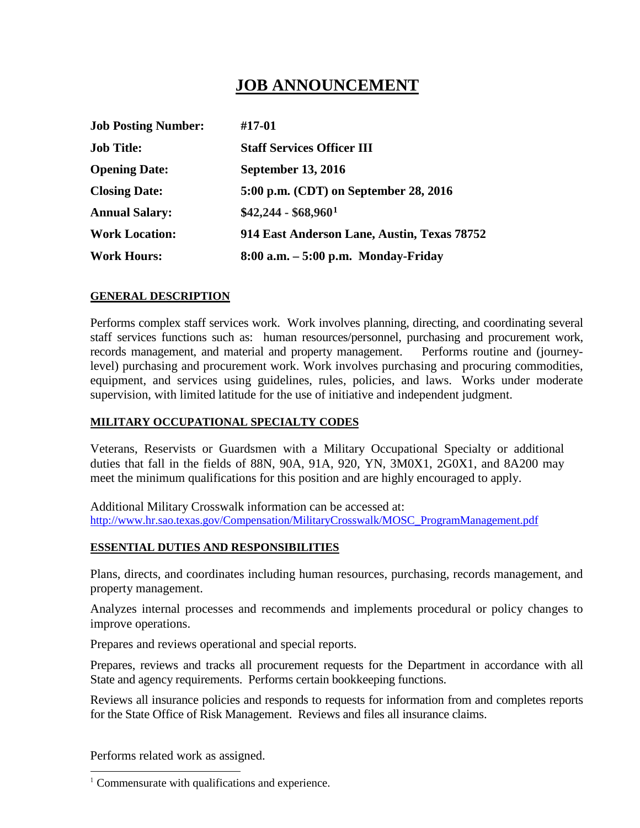# **JOB ANNOUNCEMENT**

| <b>Job Posting Number:</b> | #17-01                                      |
|----------------------------|---------------------------------------------|
| <b>Job Title:</b>          | <b>Staff Services Officer III</b>           |
| <b>Opening Date:</b>       | <b>September 13, 2016</b>                   |
| <b>Closing Date:</b>       | 5:00 p.m. (CDT) on September 28, 2016       |
| <b>Annual Salary:</b>      | $$42,244 - $68,960$ <sup>1</sup>            |
| <b>Work Location:</b>      | 914 East Anderson Lane, Austin, Texas 78752 |
| <b>Work Hours:</b>         | $8:00$ a.m. $-5:00$ p.m. Monday-Friday      |

# **GENERAL DESCRIPTION**

Performs complex staff services work. Work involves planning, directing, and coordinating several staff services functions such as: human resources/personnel, purchasing and procurement work, records management, and material and property management. Performs routine and (journeylevel) purchasing and procurement work. Work involves purchasing and procuring commodities, equipment, and services using guidelines, rules, policies, and laws. Works under moderate supervision, with limited latitude for the use of initiative and independent judgment.

# **MILITARY OCCUPATIONAL SPECIALTY CODES**

Veterans, Reservists or Guardsmen with a Military Occupational Specialty or additional duties that fall in the fields of 88N, 90A, 91A, 920, YN, 3M0X1, 2G0X1, and 8A200 may meet the minimum qualifications for this position and are highly encouraged to apply.

Additional Military Crosswalk information can be accessed at: [http://www.hr.sao.texas.gov/Compensation/MilitaryCrosswalk/MOSC\\_ProgramManagement.pdf](http://www.hr.sao.texas.gov/Compensation/MilitaryCrosswalk/MOSC_ProgramManagement.pdf)

#### **ESSENTIAL DUTIES AND RESPONSIBILITIES**

Plans, directs, and coordinates including human resources, purchasing, records management, and property management.

Analyzes internal processes and recommends and implements procedural or policy changes to improve operations.

Prepares and reviews operational and special reports.

Prepares, reviews and tracks all procurement requests for the Department in accordance with all State and agency requirements. Performs certain bookkeeping functions.

Reviews all insurance policies and responds to requests for information from and completes reports for the State Office of Risk Management. Reviews and files all insurance claims.

Performs related work as assigned.

j

<span id="page-0-0"></span> $1$  Commensurate with qualifications and experience.